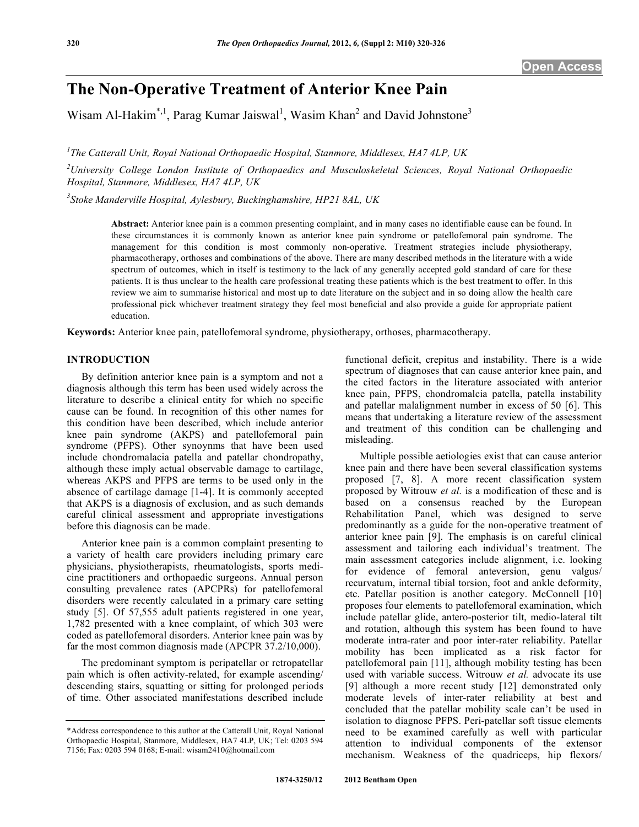# **The Non-Operative Treatment of Anterior Knee Pain**

Wisam Al-Hakim<sup>\*,1</sup>, Parag Kumar Jaiswal<sup>1</sup>, Wasim Khan<sup>2</sup> and David Johnstone<sup>3</sup>

*1 The Catterall Unit, Royal National Orthopaedic Hospital, Stanmore, Middlesex, HA7 4LP, UK* 

*2 University College London Institute of Orthopaedics and Musculoskeletal Sciences, Royal National Orthopaedic Hospital, Stanmore, Middlesex, HA7 4LP, UK* 

*3 Stoke Manderville Hospital, Aylesbury, Buckinghamshire, HP21 8AL, UK* 

**Abstract:** Anterior knee pain is a common presenting complaint, and in many cases no identifiable cause can be found. In these circumstances it is commonly known as anterior knee pain syndrome or patellofemoral pain syndrome. The management for this condition is most commonly non-operative. Treatment strategies include physiotherapy, pharmacotherapy, orthoses and combinations of the above. There are many described methods in the literature with a wide spectrum of outcomes, which in itself is testimony to the lack of any generally accepted gold standard of care for these patients. It is thus unclear to the health care professional treating these patients which is the best treatment to offer. In this review we aim to summarise historical and most up to date literature on the subject and in so doing allow the health care professional pick whichever treatment strategy they feel most beneficial and also provide a guide for appropriate patient education.

**Keywords:** Anterior knee pain, patellofemoral syndrome, physiotherapy, orthoses, pharmacotherapy.

# **INTRODUCTION**

 By definition anterior knee pain is a symptom and not a diagnosis although this term has been used widely across the literature to describe a clinical entity for which no specific cause can be found. In recognition of this other names for this condition have been described, which include anterior knee pain syndrome (AKPS) and patellofemoral pain syndrome (PFPS). Other synoynms that have been used include chondromalacia patella and patellar chondropathy, although these imply actual observable damage to cartilage, whereas AKPS and PFPS are terms to be used only in the absence of cartilage damage [1-4]. It is commonly accepted that AKPS is a diagnosis of exclusion, and as such demands careful clinical assessment and appropriate investigations before this diagnosis can be made.

 Anterior knee pain is a common complaint presenting to a variety of health care providers including primary care physicians, physiotherapists, rheumatologists, sports medicine practitioners and orthopaedic surgeons. Annual person consulting prevalence rates (APCPRs) for patellofemoral disorders were recently calculated in a primary care setting study [5]. Of 57,555 adult patients registered in one year, 1,782 presented with a knee complaint, of which 303 were coded as patellofemoral disorders. Anterior knee pain was by far the most common diagnosis made (APCPR 37.2/10,000).

 The predominant symptom is peripatellar or retropatellar pain which is often activity-related, for example ascending/ descending stairs, squatting or sitting for prolonged periods of time. Other associated manifestations described include

functional deficit, crepitus and instability. There is a wide spectrum of diagnoses that can cause anterior knee pain, and the cited factors in the literature associated with anterior knee pain, PFPS, chondromalcia patella, patella instability and patellar malalignment number in excess of 50 [6]. This means that undertaking a literature review of the assessment and treatment of this condition can be challenging and misleading.

 Multiple possible aetiologies exist that can cause anterior knee pain and there have been several classification systems proposed [7, 8]. A more recent classification system proposed by Witrouw *et al.* is a modification of these and is based on a consensus reached by the European Rehabilitation Panel, which was designed to serve predominantly as a guide for the non-operative treatment of anterior knee pain [9]. The emphasis is on careful clinical assessment and tailoring each individual's treatment. The main assessment categories include alignment, i.e. looking for evidence of femoral anteversion, genu valgus/ recurvatum, internal tibial torsion, foot and ankle deformity, etc. Patellar position is another category. McConnell [10] proposes four elements to patellofemoral examination, which include patellar glide, antero-posterior tilt, medio-lateral tilt and rotation, although this system has been found to have moderate intra-rater and poor inter-rater reliability. Patellar mobility has been implicated as a risk factor for patellofemoral pain [11], although mobility testing has been used with variable success. Witrouw *et al.* advocate its use [9] although a more recent study [12] demonstrated only moderate levels of inter-rater reliability at best and concluded that the patellar mobility scale can't be used in isolation to diagnose PFPS. Peri-patellar soft tissue elements need to be examined carefully as well with particular attention to individual components of the extensor mechanism. Weakness of the quadriceps, hip flexors/

<sup>\*</sup>Address correspondence to this author at the Catterall Unit, Royal National Orthopaedic Hospital, Stanmore, Middlesex, HA7 4LP, UK; Tel: 0203 594 7156; Fax: 0203 594 0168; E-mail: wisam2410@hotmail.com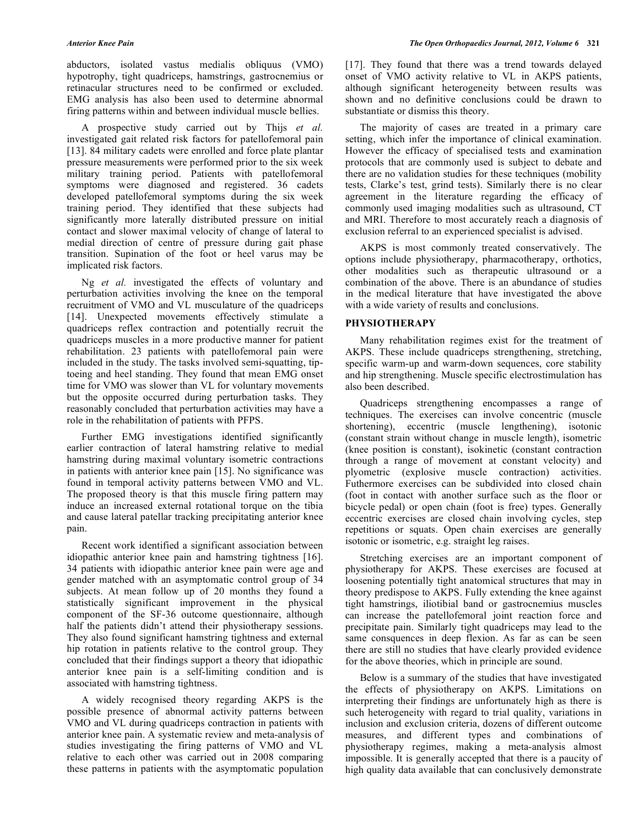abductors, isolated vastus medialis obliquus (VMO) hypotrophy, tight quadriceps, hamstrings, gastrocnemius or retinacular structures need to be confirmed or excluded. EMG analysis has also been used to determine abnormal firing patterns within and between individual muscle bellies.

 A prospective study carried out by Thijs *et al.* investigated gait related risk factors for patellofemoral pain [13]. 84 military cadets were enrolled and force plate plantar pressure measurements were performed prior to the six week military training period. Patients with patellofemoral symptoms were diagnosed and registered. 36 cadets developed patellofemoral symptoms during the six week training period. They identified that these subjects had significantly more laterally distributed pressure on initial contact and slower maximal velocity of change of lateral to medial direction of centre of pressure during gait phase transition. Supination of the foot or heel varus may be implicated risk factors.

 Ng *et al.* investigated the effects of voluntary and perturbation activities involving the knee on the temporal recruitment of VMO and VL musculature of the quadriceps [14]. Unexpected movements effectively stimulate a quadriceps reflex contraction and potentially recruit the quadriceps muscles in a more productive manner for patient rehabilitation. 23 patients with patellofemoral pain were included in the study. The tasks involved semi-squatting, tiptoeing and heel standing. They found that mean EMG onset time for VMO was slower than VL for voluntary movements but the opposite occurred during perturbation tasks. They reasonably concluded that perturbation activities may have a role in the rehabilitation of patients with PFPS.

 Further EMG investigations identified significantly earlier contraction of lateral hamstring relative to medial hamstring during maximal voluntary isometric contractions in patients with anterior knee pain [15]. No significance was found in temporal activity patterns between VMO and VL. The proposed theory is that this muscle firing pattern may induce an increased external rotational torque on the tibia and cause lateral patellar tracking precipitating anterior knee pain.

 Recent work identified a significant association between idiopathic anterior knee pain and hamstring tightness [16]. 34 patients with idiopathic anterior knee pain were age and gender matched with an asymptomatic control group of 34 subjects. At mean follow up of 20 months they found a statistically significant improvement in the physical component of the SF-36 outcome questionnaire, although half the patients didn't attend their physiotherapy sessions. They also found significant hamstring tightness and external hip rotation in patients relative to the control group. They concluded that their findings support a theory that idiopathic anterior knee pain is a self-limiting condition and is associated with hamstring tightness.

 A widely recognised theory regarding AKPS is the possible presence of abnormal activity patterns between VMO and VL during quadriceps contraction in patients with anterior knee pain. A systematic review and meta-analysis of studies investigating the firing patterns of VMO and VL relative to each other was carried out in 2008 comparing these patterns in patients with the asymptomatic population

[17]. They found that there was a trend towards delayed onset of VMO activity relative to VL in AKPS patients, although significant heterogeneity between results was shown and no definitive conclusions could be drawn to substantiate or dismiss this theory.

 The majority of cases are treated in a primary care setting, which infer the importance of clinical examination. However the efficacy of specialised tests and examination protocols that are commonly used is subject to debate and there are no validation studies for these techniques (mobility tests, Clarke's test, grind tests). Similarly there is no clear agreement in the literature regarding the efficacy of commonly used imaging modalities such as ultrasound, CT and MRI. Therefore to most accurately reach a diagnosis of exclusion referral to an experienced specialist is advised.

 AKPS is most commonly treated conservatively. The options include physiotherapy, pharmacotherapy, orthotics, other modalities such as therapeutic ultrasound or a combination of the above. There is an abundance of studies in the medical literature that have investigated the above with a wide variety of results and conclusions.

# **PHYSIOTHERAPY**

 Many rehabilitation regimes exist for the treatment of AKPS. These include quadriceps strengthening, stretching, specific warm-up and warm-down sequences, core stability and hip strengthening. Muscle specific electrostimulation has also been described.

 Quadriceps strengthening encompasses a range of techniques. The exercises can involve concentric (muscle shortening), eccentric (muscle lengthening), isotonic (constant strain without change in muscle length), isometric (knee position is constant), isokinetic (constant contraction through a range of movement at constant velocity) and plyometric (explosive muscle contraction) activities. Futhermore exercises can be subdivided into closed chain (foot in contact with another surface such as the floor or bicycle pedal) or open chain (foot is free) types. Generally eccentric exercises are closed chain involving cycles, step repetitions or squats. Open chain exercises are generally isotonic or isometric, e.g. straight leg raises.

 Stretching exercises are an important component of physiotherapy for AKPS. These exercises are focused at loosening potentially tight anatomical structures that may in theory predispose to AKPS. Fully extending the knee against tight hamstrings, iliotibial band or gastrocnemius muscles can increase the patellofemoral joint reaction force and precipitate pain. Similarly tight quadriceps may lead to the same consquences in deep flexion. As far as can be seen there are still no studies that have clearly provided evidence for the above theories, which in principle are sound.

 Below is a summary of the studies that have investigated the effects of physiotherapy on AKPS. Limitations on interpreting their findings are unfortunately high as there is such heterogeneity with regard to trial quality, variations in inclusion and exclusion criteria, dozens of different outcome measures, and different types and combinations of physiotherapy regimes, making a meta-analysis almost impossible. It is generally accepted that there is a paucity of high quality data available that can conclusively demonstrate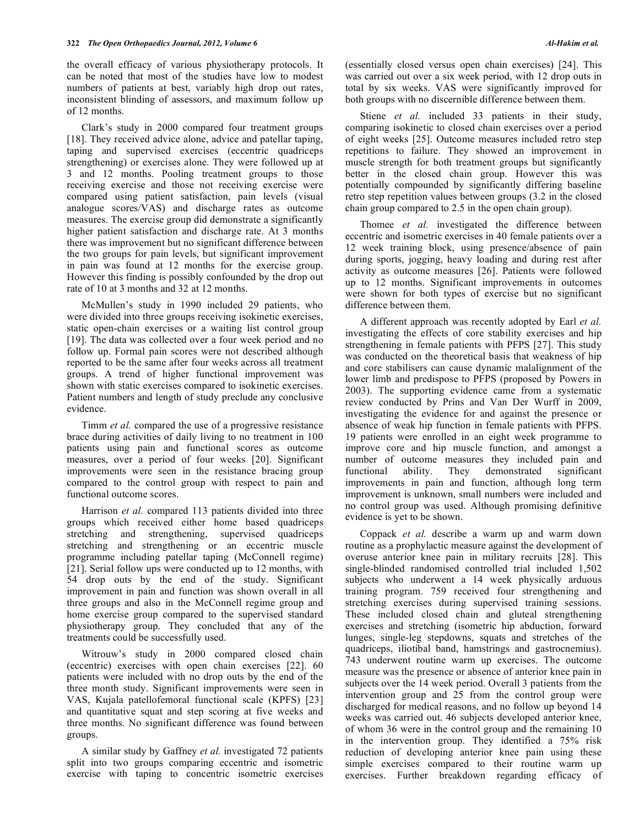the overall efficacy of various physiotherapy protocols. It can be noted that most of the studies have low to modest numbers of patients at best, variably high drop out rates, inconsistent blinding of assessors, and maximum follow up of 12 months.

 Clark's study in 2000 compared four treatment groups [18]. They received advice alone, advice and patellar taping, taping and supervised exercises (eccentric quadriceps strengthening) or exercises alone. They were followed up at 3 and 12 months. Pooling treatment groups to those receiving exercise and those not receiving exercise were compared using patient satisfaction, pain levels (visual analogue scores/VAS) and discharge rates as outcome measures. The exercise group did demonstrate a significantly higher patient satisfaction and discharge rate. At 3 months there was improvement but no significant difference between the two groups for pain levels, but significant improvement in pain was found at 12 months for the exercise group. However this finding is possibly confounded by the drop out rate of 10 at 3 months and 32 at 12 months.

 McMullen's study in 1990 included 29 patients, who were divided into three groups receiving isokinetic exercises, static open-chain exercises or a waiting list control group [19]. The data was collected over a four week period and no follow up. Formal pain scores were not described although reported to be the same after four weeks across all treatment groups. A trend of higher functional improvement was shown with static exercises compared to isokinetic exercises. Patient numbers and length of study preclude any conclusive evidence.

 Timm *et al.* compared the use of a progressive resistance brace during activities of daily living to no treatment in 100 patients using pain and functional scores as outcome measures, over a period of four weeks [20]. Significant improvements were seen in the resistance bracing group compared to the control group with respect to pain and functional outcome scores.

 Harrison *et al.* compared 113 patients divided into three groups which received either home based quadriceps stretching and strengthening, supervised quadriceps stretching and strengthening or an eccentric muscle programme including patellar taping (McConnell regime) [21]. Serial follow ups were conducted up to 12 months, with 54 drop outs by the end of the study. Significant improvement in pain and function was shown overall in all three groups and also in the McConnell regime group and home exercise group compared to the supervised standard physiotherapy group. They concluded that any of the treatments could be successfully used.

 Witrouw's study in 2000 compared closed chain (eccentric) exercises with open chain exercises [22]. 60 patients were included with no drop outs by the end of the three month study. Significant improvements were seen in VAS, Kujala patellofemoral functional scale (KPFS) [23] and quantitative squat and step scoring at five weeks and three months. No significant difference was found between groups.

 A similar study by Gaffney *et al.* investigated 72 patients split into two groups comparing eccentric and isometric exercise with taping to concentric isometric exercises

(essentially closed versus open chain exercises) [24]. This was carried out over a six week period, with 12 drop outs in total by six weeks. VAS were significantly improved for both groups with no discernible difference between them.

Stiene *et al.* included 33 patients in their study, comparing isokinetic to closed chain exercises over a period of eight weeks [25]. Outcome measures included retro step repetitions to failure. They showed an improvement in muscle strength for both treatment groups but significantly better in the closed chain group. However this was potentially compounded by significantly differing baseline retro step repetition values between groups (3.2 in the closed chain group compared to 2.5 in the open chain group).

 Thomee *et al.* investigated the difference between eccentric and isometric exercises in 40 female patients over a 12 week training block, using presence/absence of pain during sports, jogging, heavy loading and during rest after activity as outcome measures [26]. Patients were followed up to 12 months. Significant improvements in outcomes were shown for both types of exercise but no significant difference between them.

 A different approach was recently adopted by Earl *et al.* investigating the effects of core stability exercises and hip strengthening in female patients with PFPS [27]. This study was conducted on the theoretical basis that weakness of hip and core stabilisers can cause dynamic malalignment of the lower limb and predispose to PFPS (proposed by Powers in 2003). The supporting evidence came from a systematic review conducted by Prins and Van Der Wurff in 2009, investigating the evidence for and against the presence or absence of weak hip function in female patients with PFPS. 19 patients were enrolled in an eight week programme to improve core and hip muscle function, and amongst a number of outcome measures they included pain and functional ability. They demonstrated significant improvements in pain and function, although long term improvement is unknown, small numbers were included and no control group was used. Although promising definitive evidence is yet to be shown.

 Coppack *et al.* describe a warm up and warm down routine as a prophylactic measure against the development of overuse anterior knee pain in military recruits [28]. This single-blinded randomised controlled trial included 1,502 subjects who underwent a 14 week physically arduous training program. 759 received four strengthening and stretching exercises during supervised training sessions. These included closed chain and gluteal strengthening exercises and stretching (isometric hip abduction, forward lunges, single-leg stepdowns, squats and stretches of the quadriceps, iliotibal band, hamstrings and gastrocnemius). 743 underwent routine warm up exercises. The outcome measure was the presence or absence of anterior knee pain in subjects over the 14 week period. Overall 3 patients from the intervention group and 25 from the control group were discharged for medical reasons, and no follow up beyond 14 weeks was carried out. 46 subjects developed anterior knee, of whom 36 were in the control group and the remaining 10 in the intervention group. They identified a 75% risk reduction of developing anterior knee pain using these simple exercises compared to their routine warm up exercises. Further breakdown regarding efficacy of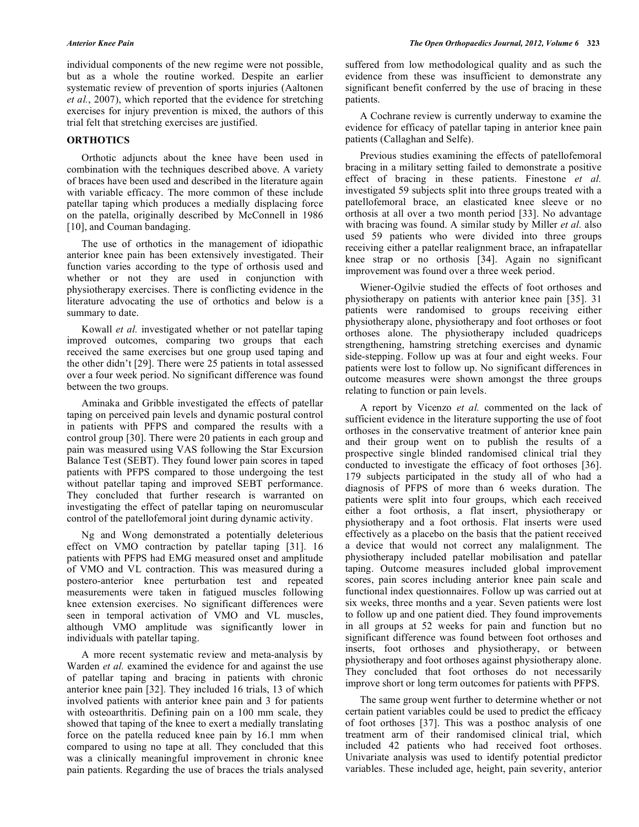individual components of the new regime were not possible, but as a whole the routine worked. Despite an earlier systematic review of prevention of sports injuries (Aaltonen *et al.*, 2007), which reported that the evidence for stretching exercises for injury prevention is mixed, the authors of this trial felt that stretching exercises are justified.

#### **ORTHOTICS**

 Orthotic adjuncts about the knee have been used in combination with the techniques described above. A variety of braces have been used and described in the literature again with variable efficacy. The more common of these include patellar taping which produces a medially displacing force on the patella, originally described by McConnell in 1986 [10], and Couman bandaging.

 The use of orthotics in the management of idiopathic anterior knee pain has been extensively investigated. Their function varies according to the type of orthosis used and whether or not they are used in conjunction with physiotherapy exercises. There is conflicting evidence in the literature advocating the use of orthotics and below is a summary to date.

 Kowall *et al.* investigated whether or not patellar taping improved outcomes, comparing two groups that each received the same exercises but one group used taping and the other didn't [29]. There were 25 patients in total assessed over a four week period. No significant difference was found between the two groups.

 Aminaka and Gribble investigated the effects of patellar taping on perceived pain levels and dynamic postural control in patients with PFPS and compared the results with a control group [30]. There were 20 patients in each group and pain was measured using VAS following the Star Excursion Balance Test (SEBT). They found lower pain scores in taped patients with PFPS compared to those undergoing the test without patellar taping and improved SEBT performance. They concluded that further research is warranted on investigating the effect of patellar taping on neuromuscular control of the patellofemoral joint during dynamic activity.

 Ng and Wong demonstrated a potentially deleterious effect on VMO contraction by patellar taping [31]. 16 patients with PFPS had EMG measured onset and amplitude of VMO and VL contraction. This was measured during a postero-anterior knee perturbation test and repeated measurements were taken in fatigued muscles following knee extension exercises. No significant differences were seen in temporal activation of VMO and VL muscles, although VMO amplitude was significantly lower in individuals with patellar taping.

 A more recent systematic review and meta-analysis by Warden *et al.* examined the evidence for and against the use of patellar taping and bracing in patients with chronic anterior knee pain [32]. They included 16 trials, 13 of which involved patients with anterior knee pain and 3 for patients with osteoarthritis. Defining pain on a 100 mm scale, they showed that taping of the knee to exert a medially translating force on the patella reduced knee pain by 16.1 mm when compared to using no tape at all. They concluded that this was a clinically meaningful improvement in chronic knee pain patients. Regarding the use of braces the trials analysed suffered from low methodological quality and as such the evidence from these was insufficient to demonstrate any significant benefit conferred by the use of bracing in these patients.

 A Cochrane review is currently underway to examine the evidence for efficacy of patellar taping in anterior knee pain patients (Callaghan and Selfe).

 Previous studies examining the effects of patellofemoral bracing in a military setting failed to demonstrate a positive effect of bracing in these patients. Finestone *et al.* investigated 59 subjects split into three groups treated with a patellofemoral brace, an elasticated knee sleeve or no orthosis at all over a two month period [33]. No advantage with bracing was found. A similar study by Miller *et al.* also used 59 patients who were divided into three groups receiving either a patellar realignment brace, an infrapatellar knee strap or no orthosis [34]. Again no significant improvement was found over a three week period.

 Wiener-Ogilvie studied the effects of foot orthoses and physiotherapy on patients with anterior knee pain [35]. 31 patients were randomised to groups receiving either physiotherapy alone, physiotherapy and foot orthoses or foot orthoses alone. The physiotherapy included quadriceps strengthening, hamstring stretching exercises and dynamic side-stepping. Follow up was at four and eight weeks. Four patients were lost to follow up. No significant differences in outcome measures were shown amongst the three groups relating to function or pain levels.

 A report by Vicenzo *et al.* commented on the lack of sufficient evidence in the literature supporting the use of foot orthoses in the conservative treatment of anterior knee pain and their group went on to publish the results of a prospective single blinded randomised clinical trial they conducted to investigate the efficacy of foot orthoses [36]. 179 subjects participated in the study all of who had a diagnosis of PFPS of more than 6 weeks duration. The patients were split into four groups, which each received either a foot orthosis, a flat insert, physiotherapy or physiotherapy and a foot orthosis. Flat inserts were used effectively as a placebo on the basis that the patient received a device that would not correct any malalignment. The physiotherapy included patellar mobilisation and patellar taping. Outcome measures included global improvement scores, pain scores including anterior knee pain scale and functional index questionnaires. Follow up was carried out at six weeks, three months and a year. Seven patients were lost to follow up and one patient died. They found improvements in all groups at 52 weeks for pain and function but no significant difference was found between foot orthoses and inserts, foot orthoses and physiotherapy, or between physiotherapy and foot orthoses against physiotherapy alone. They concluded that foot orthoses do not necessarily improve short or long term outcomes for patients with PFPS.

 The same group went further to determine whether or not certain patient variables could be used to predict the efficacy of foot orthoses [37]. This was a posthoc analysis of one treatment arm of their randomised clinical trial, which included 42 patients who had received foot orthoses. Univariate analysis was used to identify potential predictor variables. These included age, height, pain severity, anterior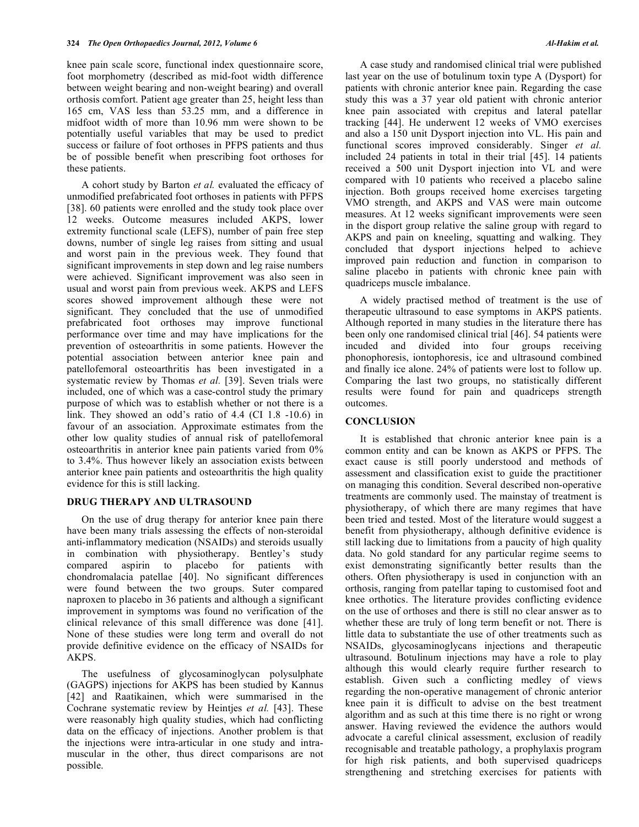knee pain scale score, functional index questionnaire score, foot morphometry (described as mid-foot width difference between weight bearing and non-weight bearing) and overall orthosis comfort. Patient age greater than 25, height less than 165 cm, VAS less than 53.25 mm, and a difference in midfoot width of more than 10.96 mm were shown to be potentially useful variables that may be used to predict success or failure of foot orthoses in PFPS patients and thus be of possible benefit when prescribing foot orthoses for these patients.

 A cohort study by Barton *et al.* evaluated the efficacy of unmodified prefabricated foot orthoses in patients with PFPS [38]. 60 patients were enrolled and the study took place over 12 weeks. Outcome measures included AKPS, lower extremity functional scale (LEFS), number of pain free step downs, number of single leg raises from sitting and usual and worst pain in the previous week. They found that significant improvements in step down and leg raise numbers were achieved. Significant improvement was also seen in usual and worst pain from previous week. AKPS and LEFS scores showed improvement although these were not significant. They concluded that the use of unmodified prefabricated foot orthoses may improve functional performance over time and may have implications for the prevention of osteoarthritis in some patients. However the potential association between anterior knee pain and patellofemoral osteoarthritis has been investigated in a systematic review by Thomas *et al.* [39]. Seven trials were included, one of which was a case-control study the primary purpose of which was to establish whether or not there is a link. They showed an odd's ratio of 4.4 (CI 1.8 -10.6) in favour of an association. Approximate estimates from the other low quality studies of annual risk of patellofemoral osteoarthritis in anterior knee pain patients varied from 0% to 3.4%. Thus however likely an association exists between anterior knee pain patients and osteoarthritis the high quality evidence for this is still lacking.

#### **DRUG THERAPY AND ULTRASOUND**

 On the use of drug therapy for anterior knee pain there have been many trials assessing the effects of non-steroidal anti-inflammatory medication (NSAIDs) and steroids usually in combination with physiotherapy. Bentley's study compared aspirin to placebo for patients with chondromalacia patellae [40]. No significant differences were found between the two groups. Suter compared naproxen to placebo in 36 patients and although a significant improvement in symptoms was found no verification of the clinical relevance of this small difference was done [41]. None of these studies were long term and overall do not provide definitive evidence on the efficacy of NSAIDs for AKPS.

 The usefulness of glycosaminoglycan polysulphate (GAGPS) injections for AKPS has been studied by Kannus [42] and Raatikainen, which were summarised in the Cochrane systematic review by Heintjes *et al.* [43]. These were reasonably high quality studies, which had conflicting data on the efficacy of injections. Another problem is that the injections were intra-articular in one study and intramuscular in the other, thus direct comparisons are not possible.

 A case study and randomised clinical trial were published last year on the use of botulinum toxin type A (Dysport) for patients with chronic anterior knee pain. Regarding the case study this was a 37 year old patient with chronic anterior knee pain associated with crepitus and lateral patellar tracking [44]. He underwent 12 weeks of VMO exercises and also a 150 unit Dysport injection into VL. His pain and functional scores improved considerably. Singer *et al.* included 24 patients in total in their trial [45]. 14 patients received a 500 unit Dysport injection into VL and were compared with 10 patients who received a placebo saline injection. Both groups received home exercises targeting VMO strength, and AKPS and VAS were main outcome measures. At 12 weeks significant improvements were seen in the disport group relative the saline group with regard to AKPS and pain on kneeling, squatting and walking. They concluded that dysport injections helped to achieve improved pain reduction and function in comparison to saline placebo in patients with chronic knee pain with quadriceps muscle imbalance.

 A widely practised method of treatment is the use of therapeutic ultrasound to ease symptoms in AKPS patients. Although reported in many studies in the literature there has been only one randomised clinical trial [46]. 54 patients were incuded and divided into four groups receiving phonophoresis, iontophoresis, ice and ultrasound combined and finally ice alone. 24% of patients were lost to follow up. Comparing the last two groups, no statistically different results were found for pain and quadriceps strength outcomes.

## **CONCLUSION**

 It is established that chronic anterior knee pain is a common entity and can be known as AKPS or PFPS. The exact cause is still poorly understood and methods of assessment and classification exist to guide the practitioner on managing this condition. Several described non-operative treatments are commonly used. The mainstay of treatment is physiotherapy, of which there are many regimes that have been tried and tested. Most of the literature would suggest a benefit from physiotherapy, although definitive evidence is still lacking due to limitations from a paucity of high quality data. No gold standard for any particular regime seems to exist demonstrating significantly better results than the others. Often physiotherapy is used in conjunction with an orthosis, ranging from patellar taping to customised foot and knee orthotics. The literature provides conflicting evidence on the use of orthoses and there is still no clear answer as to whether these are truly of long term benefit or not. There is little data to substantiate the use of other treatments such as NSAIDs, glycosaminoglycans injections and therapeutic ultrasound. Botulinum injections may have a role to play although this would clearly require further research to establish. Given such a conflicting medley of views regarding the non-operative management of chronic anterior knee pain it is difficult to advise on the best treatment algorithm and as such at this time there is no right or wrong answer. Having reviewed the evidence the authors would advocate a careful clinical assessment, exclusion of readily recognisable and treatable pathology, a prophylaxis program for high risk patients, and both supervised quadriceps strengthening and stretching exercises for patients with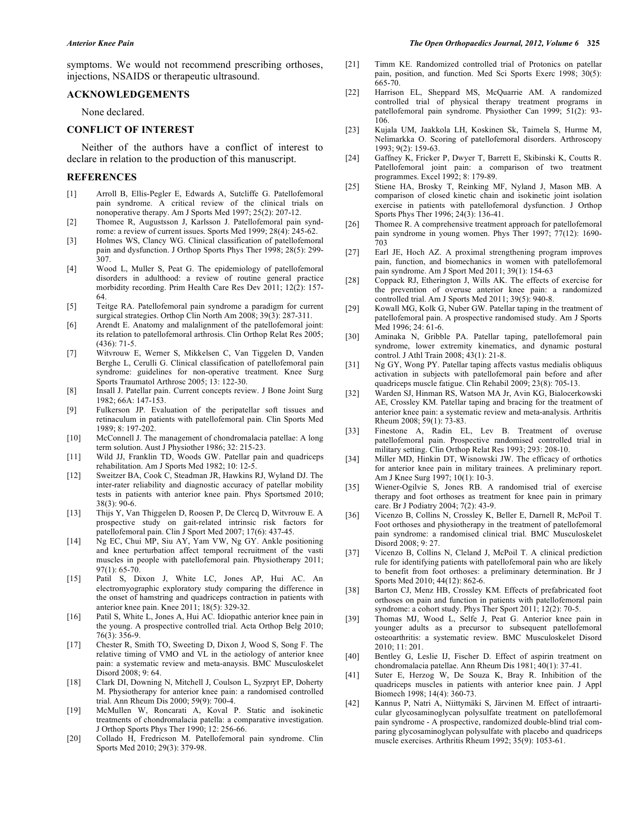symptoms. We would not recommend prescribing orthoses, injections, NSAIDS or therapeutic ultrasound.

# **ACKNOWLEDGEMENTS**

None declared.

### **CONFLICT OF INTEREST**

 Neither of the authors have a conflict of interest to declare in relation to the production of this manuscript.

#### **REFERENCES**

- [1] Arroll B, Ellis-Pegler E, Edwards A, Sutcliffe G. Patellofemoral pain syndrome. A critical review of the clinical trials on nonoperative therapy. Am J Sports Med 1997; 25(2): 207-12.
- [2] Thomee R, Augustsson J, Karlsson J. Patellofemoral pain syndrome: a review of current issues. Sports Med 1999; 28(4): 245-62.
- [3] Holmes WS, Clancy WG. Clinical classification of patellofemoral pain and dysfunction. J Orthop Sports Phys Ther 1998; 28(5): 299- 307.
- [4] Wood L, Muller S, Peat G. The epidemiology of patellofemoral disorders in adulthood: a review of routine general practice morbidity recording. Prim Health Care Res Dev 2011; 12(2): 157- 64.
- [5] Teitge RA. Patellofemoral pain syndrome a paradigm for current surgical strategies. Orthop Clin North Am 2008; 39(3): 287-311.
- [6] Arendt E. Anatomy and malalignment of the patellofemoral joint: its relation to patellofemoral arthrosis. Clin Orthop Relat Res 2005; (436): 71-5.
- [7] Witvrouw E, Werner S, Mikkelsen C, Van Tiggelen D, Vanden Berghe L, Cerulli G. Clinical classification of patellofemoral pain syndrome: guidelines for non-operative treatment. Knee Surg Sports Traumatol Arthrosc 2005; 13: 122-30.
- [8] Insall J. Patellar pain. Current concepts review. J Bone Joint Surg 1982; 66A: 147-153.
- [9] Fulkerson JP. Evaluation of the peripatellar soft tissues and retinaculum in patients with patellofemoral pain. Clin Sports Med 1989; 8: 197-202.
- [10] McConnell J. The management of chondromalacia patellae: A long term solution. Aust J Physiother 1986; 32: 215-23.
- [11] Wild JJ, Franklin TD, Woods GW. Patellar pain and quadriceps rehabilitation. Am J Sports Med 1982; 10: 12-5.
- [12] Sweitzer BA, Cook C, Steadman JR, Hawkins RJ, Wyland DJ. The inter-rater reliability and diagnostic accuracy of patellar mobility tests in patients with anterior knee pain. Phys Sportsmed 2010; 38(3): 90-6.
- [13] Thijs Y, Van Thiggelen D, Roosen P, De Clercq D, Witvrouw E. A prospective study on gait-related intrinsic risk factors for patellofemoral pain. Clin J Sport Med 2007; 17(6): 437-45.
- [14] Ng EC, Chui MP, Siu AY, Yam VW, Ng GY. Ankle positioning and knee perturbation affect temporal recruitment of the vasti muscles in people with patellofemoral pain. Physiotherapy 2011; 97(1): 65-70.
- [15] Patil S, Dixon J, White LC, Jones AP, Hui AC. An electromyographic exploratory study comparing the difference in the onset of hamstring and quadriceps contraction in patients with anterior knee pain. Knee 2011; 18(5): 329-32.
- [16] Patil S, White L, Jones A, Hui AC. Idiopathic anterior knee pain in the young. A prospective controlled trial. Acta Orthop Belg 2010; 76(3): 356-9.
- [17] Chester R, Smith TO, Sweeting D, Dixon J, Wood S, Song F. The relative timing of VMO and VL in the aetiology of anterior knee pain: a systematic review and meta-anaysis. BMC Musculoskelet Disord 2008; 9: 64.
- [18] Clark DI, Downing N, Mitchell J, Coulson L, Syzpryt EP, Doherty M. Physiotherapy for anterior knee pain: a randomised controlled trial. Ann Rheum Dis 2000; 59(9): 700-4.
- [19] McMullen W, Roncarati A, Koval P. Static and isokinetic treatments of chondromalacia patella: a comparative investigation. J Orthop Sports Phys Ther 1990; 12: 256-66.
- [20] Collado H, Fredricson M. Patellofemoral pain syndrome. Clin Sports Med 2010; 29(3): 379-98.
- [21] Timm KE. Randomized controlled trial of Protonics on patellar pain, position, and function. Med Sci Sports Exerc 1998; 30(5): 665-70.
- [22] Harrison EL, Sheppard MS, McQuarrie AM. A randomized controlled trial of physical therapy treatment programs in patellofemoral pain syndrome. Physiother Can 1999; 51(2): 93- 106.
- [23] Kujala UM, Jaakkola LH, Koskinen Sk, Taimela S, Hurme M, Nelimarkka O. Scoring of patellofemoral disorders. Arthroscopy 1993; 9(2): 159-63.
- [24] Gaffney K, Fricker P, Dwyer T, Barrett E, Skibinski K, Coutts R. Patellofemoral joint pain: a comparison of two treatment programmes. Excel 1992; 8: 179-89.
- [25] Stiene HA, Brosky T, Reinking MF, Nyland J, Mason MB. A comparison of closed kinetic chain and isokinetic joint isolation exercise in patients with patellofemoral dysfunction. J Orthop Sports Phys Ther 1996; 24(3): 136-41.
- [26] Thomee R. A comprehensive treatment approach for patellofemoral pain syndrome in young women. Phys Ther 1997; 77(12): 1690- 703
- [27] Earl JE, Hoch AZ. A proximal strengthening program improves pain, function, and biomechanics in women with patellofemoral pain syndrome. Am J Sport Med 2011; 39(1): 154-63
- [28] Coppack RJ, Etherington J, Wills AK. The effects of exercise for the prevention of overuse anterior knee pain: a randomized controlled trial. Am J Sports Med 2011; 39(5): 940-8.
- [29] Kowall MG, Kolk G, Nuber GW. Patellar taping in the treatment of patellofemoral pain. A prospective randomised study. Am J Sports Med 1996; 24: 61-6.
- [30] Aminaka N, Gribble PA. Patellar taping, patellofemoral pain syndrome, lower extremity kinematics, and dynamic postural control. J Athl Train 2008; 43(1): 21-8.
- [31] Ng GY, Wong PY. Patellar taping affects vastus medialis obliquus activation in subjects with patellofemoral pain before and after quadriceps muscle fatigue. Clin Rehabil 2009; 23(8): 705-13.
- [32] Warden SJ, Hinman RS, Watson MA Jr, Avin KG, Bialocerkowski AE, Crossley KM. Patellar taping and bracing for the treatment of anterior knee pain: a systematic review and meta-analysis. Arthritis Rheum 2008; 59(1): 73-83.
- [33] Finestone A, Radin EL, Lev B. Treatment of overuse patellofemoral pain. Prospective randomised controlled trial in military setting. Clin Orthop Relat Res 1993; 293: 208-10.
- [34] Miller MD, Hinkin DT, Wisnowski JW. The efficacy of orthotics for anterior knee pain in military trainees. A preliminary report. Am J Knee Surg 1997; 10(1): 10-3.
- [35] Wiener-Ogilvie S, Jones RB. A randomised trial of exercise therapy and foot orthoses as treatment for knee pain in primary care. Br J Podiatry 2004; 7(2): 43-9.
- [36] Vicenzo B, Collins N, Crossley K, Beller E, Darnell R, McPoil T. Foot orthoses and physiotherapy in the treatment of patellofemoral pain syndrome: a randomised clinical trial. BMC Musculoskelet Disord 2008; 9: 27.
- [37] Vicenzo B, Collins N, Cleland J, McPoil T. A clinical prediction rule for identifying patients with patellofemoral pain who are likely to benefit from foot orthoses: a preliminary determination. Br J Sports Med 2010; 44(12): 862-6.
- [38] Barton CJ, Menz HB, Crossley KM. Effects of prefabricated foot orthoses on pain and function in patients with patellofemoral pain syndrome: a cohort study. Phys Ther Sport 2011; 12(2): 70-5.
- [39] Thomas MJ, Wood L, Selfe J, Peat G. Anterior knee pain in younger adults as a precursor to subsequent patellofemoral osteoarthritis: a systematic review. BMC Musculoskelet Disord 2010; 11: 201.
- [40] Bentley G, Leslie IJ, Fischer D. Effect of aspirin treatment on chondromalacia patellae. Ann Rheum Dis 1981; 40(1): 37-41.
- [41] Suter E, Herzog W, De Souza K, Bray R. Inhibition of the quadriceps muscles in patients with anterior knee pain. J Appl Biomech 1998; 14(4): 360-73.
- [42] Kannus P, Natri A, Niittymäki S, Järvinen M. Effect of intraarticular glycosaminoglycan polysulfate treatment on patellofemoral pain syndrome - A prospective, randomized double-blind trial comparing glycosaminoglycan polysulfate with placebo and quadriceps muscle exercises. Arthritis Rheum 1992; 35(9): 1053-61.